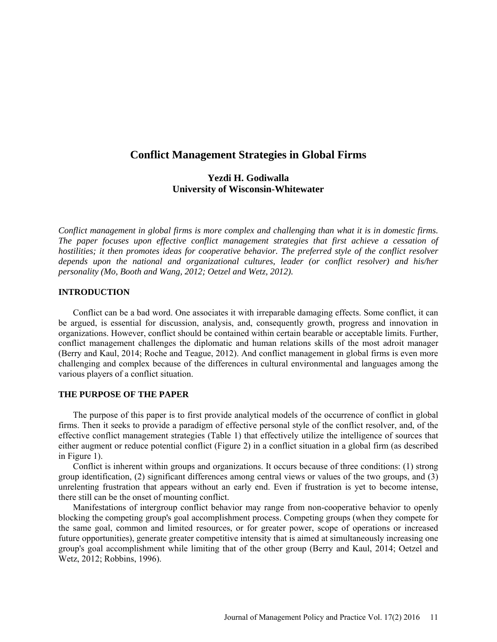# **Conflict Management Strategies in Global Firms**

# **Yezdi H. Godiwalla University of Wisconsin-Whitewater**

*Conflict management in global firms is more complex and challenging than what it is in domestic firms. The paper focuses upon effective conflict management strategies that first achieve a cessation of hostilities; it then promotes ideas for cooperative behavior. The preferred style of the conflict resolver depends upon the national and organizational cultures, leader (or conflict resolver) and his/her personality (Mo, Booth and Wang, 2012; Oetzel and Wetz, 2012).*

# **INTRODUCTION**

Conflict can be a bad word. One associates it with irreparable damaging effects. Some conflict, it can be argued, is essential for discussion, analysis, and, consequently growth, progress and innovation in organizations. However, conflict should be contained within certain bearable or acceptable limits. Further, conflict management challenges the diplomatic and human relations skills of the most adroit manager (Berry and Kaul, 2014; Roche and Teague, 2012). And conflict management in global firms is even more challenging and complex because of the differences in cultural environmental and languages among the various players of a conflict situation.

### **THE PURPOSE OF THE PAPER**

The purpose of this paper is to first provide analytical models of the occurrence of conflict in global firms. Then it seeks to provide a paradigm of effective personal style of the conflict resolver, and, of the effective conflict management strategies (Table 1) that effectively utilize the intelligence of sources that either augment or reduce potential conflict (Figure 2) in a conflict situation in a global firm (as described in Figure 1).

Conflict is inherent within groups and organizations. It occurs because of three conditions: (1) strong group identification, (2) significant differences among central views or values of the two groups, and (3) unrelenting frustration that appears without an early end. Even if frustration is yet to become intense, there still can be the onset of mounting conflict.

Manifestations of intergroup conflict behavior may range from non-cooperative behavior to openly blocking the competing group's goal accomplishment process. Competing groups (when they compete for the same goal, common and limited resources, or for greater power, scope of operations or increased future opportunities), generate greater competitive intensity that is aimed at simultaneously increasing one group's goal accomplishment while limiting that of the other group (Berry and Kaul, 2014; Oetzel and Wetz, 2012; Robbins, 1996).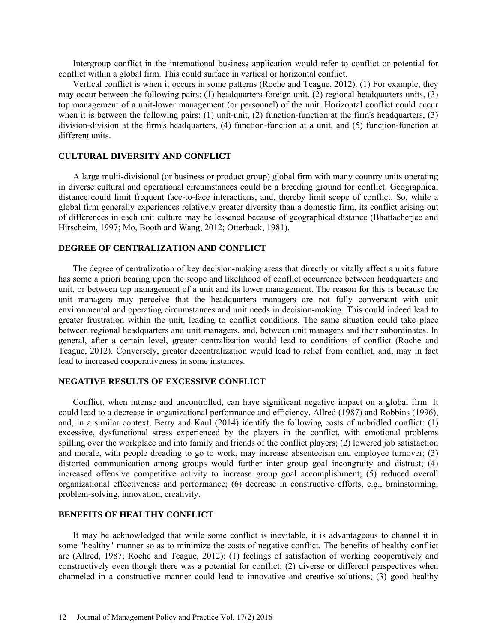Intergroup conflict in the international business application would refer to conflict or potential for conflict within a global firm. This could surface in vertical or horizontal conflict.

Vertical conflict is when it occurs in some patterns (Roche and Teague, 2012). (1) For example, they may occur between the following pairs: (1) headquarters-foreign unit, (2) regional headquarters-units, (3) top management of a unit-lower management (or personnel) of the unit. Horizontal conflict could occur when it is between the following pairs: (1) unit-unit, (2) function-function at the firm's headquarters, (3) division-division at the firm's headquarters, (4) function-function at a unit, and (5) function-function at different units.

## **CULTURAL DIVERSITY AND CONFLICT**

A large multi-divisional (or business or product group) global firm with many country units operating in diverse cultural and operational circumstances could be a breeding ground for conflict. Geographical distance could limit frequent face-to-face interactions, and, thereby limit scope of conflict. So, while a global firm generally experiences relatively greater diversity than a domestic firm, its conflict arising out of differences in each unit culture may be lessened because of geographical distance (Bhattacherjee and Hirscheim, 1997; Mo, Booth and Wang, 2012; Otterback, 1981).

#### **DEGREE OF CENTRALIZATION AND CONFLICT**

The degree of centralization of key decision-making areas that directly or vitally affect a unit's future has some a priori bearing upon the scope and likelihood of conflict occurrence between headquarters and unit, or between top management of a unit and its lower management. The reason for this is because the unit managers may perceive that the headquarters managers are not fully conversant with unit environmental and operating circumstances and unit needs in decision-making. This could indeed lead to greater frustration within the unit, leading to conflict conditions. The same situation could take place between regional headquarters and unit managers, and, between unit managers and their subordinates. In general, after a certain level, greater centralization would lead to conditions of conflict (Roche and Teague, 2012). Conversely, greater decentralization would lead to relief from conflict, and, may in fact lead to increased cooperativeness in some instances.

#### **NEGATIVE RESULTS OF EXCESSIVE CONFLICT**

Conflict, when intense and uncontrolled, can have significant negative impact on a global firm. It could lead to a decrease in organizational performance and efficiency. Allred (1987) and Robbins (1996), and, in a similar context, Berry and Kaul (2014) identify the following costs of unbridled conflict: (1) excessive, dysfunctional stress experienced by the players in the conflict, with emotional problems spilling over the workplace and into family and friends of the conflict players; (2) lowered job satisfaction and morale, with people dreading to go to work, may increase absenteeism and employee turnover; (3) distorted communication among groups would further inter group goal incongruity and distrust; (4) increased offensive competitive activity to increase group goal accomplishment; (5) reduced overall organizational effectiveness and performance; (6) decrease in constructive efforts, e.g., brainstorming, problem-solving, innovation, creativity.

### **BENEFITS OF HEALTHY CONFLICT**

It may be acknowledged that while some conflict is inevitable, it is advantageous to channel it in some "healthy" manner so as to minimize the costs of negative conflict. The benefits of healthy conflict are (Allred, 1987; Roche and Teague, 2012): (1) feelings of satisfaction of working cooperatively and constructively even though there was a potential for conflict; (2) diverse or different perspectives when channeled in a constructive manner could lead to innovative and creative solutions; (3) good healthy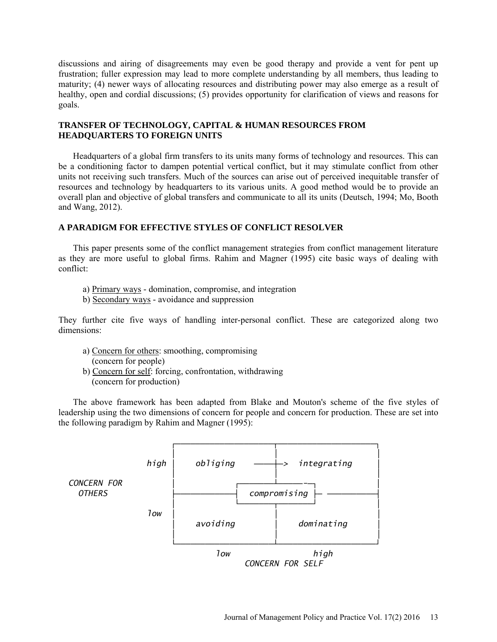discussions and airing of disagreements may even be good therapy and provide a vent for pent up frustration; fuller expression may lead to more complete understanding by all members, thus leading to maturity; (4) newer ways of allocating resources and distributing power may also emerge as a result of healthy, open and cordial discussions; (5) provides opportunity for clarification of views and reasons for goals.

# **TRANSFER OF TECHNOLOGY, CAPITAL & HUMAN RESOURCES FROM HEADQUARTERS TO FOREIGN UNITS**

Headquarters of a global firm transfers to its units many forms of technology and resources. This can be a conditioning factor to dampen potential vertical conflict, but it may stimulate conflict from other units not receiving such transfers. Much of the sources can arise out of perceived inequitable transfer of resources and technology by headquarters to its various units. A good method would be to provide an overall plan and objective of global transfers and communicate to all its units (Deutsch, 1994; Mo, Booth and Wang, 2012).

# **A PARADIGM FOR EFFECTIVE STYLES OF CONFLICT RESOLVER**

This paper presents some of the conflict management strategies from conflict management literature as they are more useful to global firms. Rahim and Magner (1995) cite basic ways of dealing with conflict:

- a) Primary ways domination, compromise, and integration
- b) Secondary ways avoidance and suppression

They further cite five ways of handling inter-personal conflict. These are categorized along two dimensions:

- a) Concern for others: smoothing, compromising (concern for people)
- b) Concern for self: forcing, confrontation, withdrawing (concern for production)

The above framework has been adapted from Blake and Mouton's scheme of the five styles of leadership using the two dimensions of concern for people and concern for production. These are set into the following paradigm by Rahim and Magner (1995):

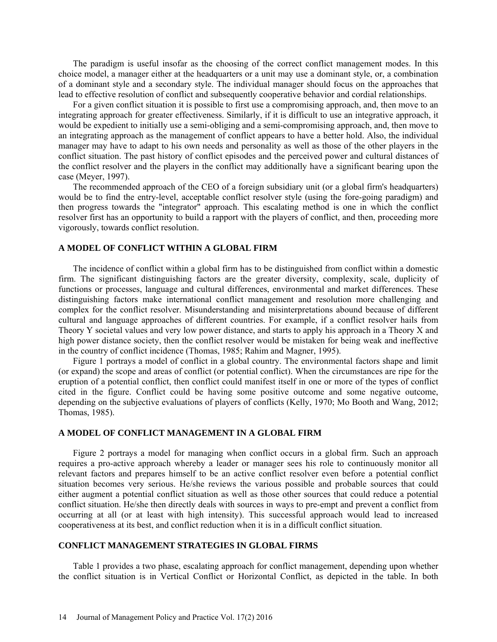The paradigm is useful insofar as the choosing of the correct conflict management modes. In this choice model, a manager either at the headquarters or a unit may use a dominant style, or, a combination of a dominant style and a secondary style. The individual manager should focus on the approaches that lead to effective resolution of conflict and subsequently cooperative behavior and cordial relationships.

For a given conflict situation it is possible to first use a compromising approach, and, then move to an integrating approach for greater effectiveness. Similarly, if it is difficult to use an integrative approach, it would be expedient to initially use a semi-obliging and a semi-compromising approach, and, then move to an integrating approach as the management of conflict appears to have a better hold. Also, the individual manager may have to adapt to his own needs and personality as well as those of the other players in the conflict situation. The past history of conflict episodes and the perceived power and cultural distances of the conflict resolver and the players in the conflict may additionally have a significant bearing upon the case (Meyer, 1997).

The recommended approach of the CEO of a foreign subsidiary unit (or a global firm's headquarters) would be to find the entry-level, acceptable conflict resolver style (using the fore-going paradigm) and then progress towards the "integrator" approach. This escalating method is one in which the conflict resolver first has an opportunity to build a rapport with the players of conflict, and then, proceeding more vigorously, towards conflict resolution.

#### **A MODEL OF CONFLICT WITHIN A GLOBAL FIRM**

The incidence of conflict within a global firm has to be distinguished from conflict within a domestic firm. The significant distinguishing factors are the greater diversity, complexity, scale, duplicity of functions or processes, language and cultural differences, environmental and market differences. These distinguishing factors make international conflict management and resolution more challenging and complex for the conflict resolver. Misunderstanding and misinterpretations abound because of different cultural and language approaches of different countries. For example, if a conflict resolver hails from Theory Y societal values and very low power distance, and starts to apply his approach in a Theory X and high power distance society, then the conflict resolver would be mistaken for being weak and ineffective in the country of conflict incidence (Thomas, 1985; Rahim and Magner, 1995).

Figure 1 portrays a model of conflict in a global country. The environmental factors shape and limit (or expand) the scope and areas of conflict (or potential conflict). When the circumstances are ripe for the eruption of a potential conflict, then conflict could manifest itself in one or more of the types of conflict cited in the figure. Conflict could be having some positive outcome and some negative outcome, depending on the subjective evaluations of players of conflicts (Kelly, 1970; Mo Booth and Wang, 2012; Thomas, 1985).

### **A MODEL OF CONFLICT MANAGEMENT IN A GLOBAL FIRM**

Figure 2 portrays a model for managing when conflict occurs in a global firm. Such an approach requires a pro-active approach whereby a leader or manager sees his role to continuously monitor all relevant factors and prepares himself to be an active conflict resolver even before a potential conflict situation becomes very serious. He/she reviews the various possible and probable sources that could either augment a potential conflict situation as well as those other sources that could reduce a potential conflict situation. He/she then directly deals with sources in ways to pre-empt and prevent a conflict from occurring at all (or at least with high intensity). This successful approach would lead to increased cooperativeness at its best, and conflict reduction when it is in a difficult conflict situation.

### **CONFLICT MANAGEMENT STRATEGIES IN GLOBAL FIRMS**

Table 1 provides a two phase, escalating approach for conflict management, depending upon whether the conflict situation is in Vertical Conflict or Horizontal Conflict, as depicted in the table. In both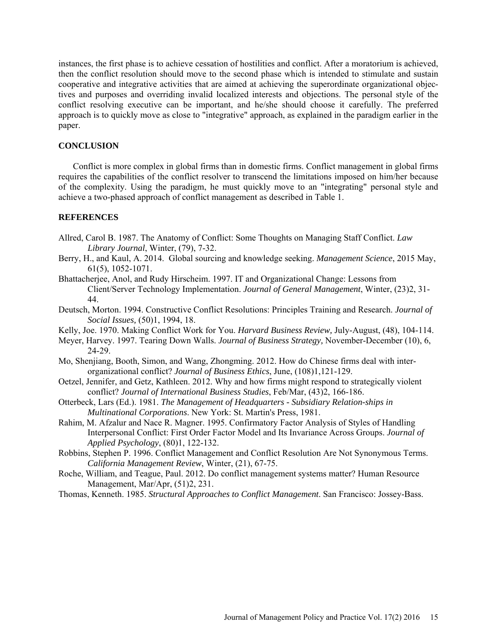instances, the first phase is to achieve cessation of hostilities and conflict. After a moratorium is achieved, then the conflict resolution should move to the second phase which is intended to stimulate and sustain cooperative and integrative activities that are aimed at achieving the superordinate organizational objectives and purposes and overriding invalid localized interests and objections. The personal style of the conflict resolving executive can be important, and he/she should choose it carefully. The preferred approach is to quickly move as close to "integrative" approach, as explained in the paradigm earlier in the paper.

#### **CONCLUSION**

Conflict is more complex in global firms than in domestic firms. Conflict management in global firms requires the capabilities of the conflict resolver to transcend the limitations imposed on him/her because of the complexity. Using the paradigm, he must quickly move to an "integrating" personal style and achieve a two-phased approach of conflict management as described in Table 1.

### **REFERENCES**

- Allred, Carol B. 1987. The Anatomy of Conflict: Some Thoughts on Managing Staff Conflict. *Law Library Journal*, Winter, (79), 7-32.
- Berry, H., and Kaul, A. 2014. Global sourcing and knowledge seeking. *Management Science*, 2015 May, 61(5), 1052-1071.
- Bhattacherjee, Anol, and Rudy Hirscheim. 1997. IT and Organizational Change: Lessons from Client/Server Technology Implementation. *Journal of General Management*, Winter, (23)2, 31- 44.
- Deutsch, Morton. 1994. Constructive Conflict Resolutions: Principles Training and Research. *Journal of Social Issues,* (50)1, 1994, 18.
- Kelly, Joe. 1970. Making Conflict Work for You. *Harvard Business Review,* July-August, (48), 104-114.
- Meyer, Harvey. 1997. Tearing Down Walls. *Journal of Business Strategy,* November-December (10), 6, 24-29.
- Mo, Shenjiang, Booth, Simon, and Wang, Zhongming. 2012. How do Chinese firms deal with interorganizational conflict? *Journal of Business Ethics*, June, (108)1,121-129.
- Oetzel, Jennifer, and Getz, Kathleen. 2012. Why and how firms might respond to strategically violent conflict? *Journal of International Business Studies*, Feb/Mar, (43)2, 166-186.
- Otterbeck, Lars (Ed.). 1981. *The Management of Headquarters Subsidiary Relation-ships in Multinational Corporations*. New York: St. Martin's Press, 1981.
- Rahim, M. Afzalur and Nace R. Magner. 1995. Confirmatory Factor Analysis of Styles of Handling Interpersonal Conflict: First Order Factor Model and Its Invariance Across Groups. *Journal of Applied Psychology*, (80)1, 122-132.
- Robbins, Stephen P. 1996. Conflict Management and Conflict Resolution Are Not Synonymous Terms. *California Management Review*, Winter, (21), 67-75.
- Roche, William, and Teague, Paul. 2012. Do conflict management systems matter? Human Resource Management, Mar/Apr, (51)2, 231.
- Thomas, Kenneth. 1985. *Structural Approaches to Conflict Management*. San Francisco: Jossey-Bass.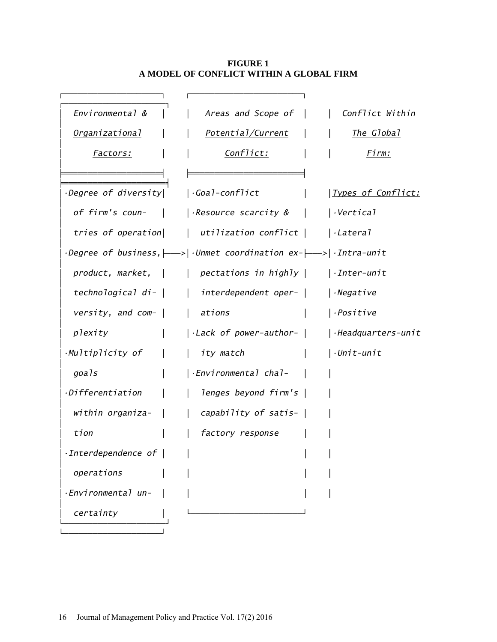# **FIGURE 1 A MODEL OF CONFLICT WITHIN A GLOBAL FIRM**

| <u>Environmental &amp;</u>                 | <u>Areas and Scope of</u>                                                                                         | Conflict Within            |
|--------------------------------------------|-------------------------------------------------------------------------------------------------------------------|----------------------------|
| <u> Organizational</u>                     | <u>Potential/Current</u>                                                                                          | <u>The Global</u>          |
| <u> Factors:</u>                           | <u>Conflict:</u>                                                                                                  | Firm:                      |
|                                            |                                                                                                                   |                            |
| $\cdot$ Degree of diversity $\mid$         | $\cdot$ Goal-conflict                                                                                             | <u> Types of Conflict:</u> |
| of firm's coun-                            | $ \cdot$ Resource scarcity & $\qquad$                                                                             | $\cdot$ Vertical           |
|                                            | tries of operation    utilization conflict                                                                        | $ \cdot$ Lateral           |
|                                            | $\cdot$ Degree of business, $ \longrightarrow  \cdot$ Unmet coordination ex- $ \longrightarrow  \cdot$ Intra-unit |                            |
|                                            | $product, market,    $ pectations in highly $ $                                                                   | $\vert$ · Inter-unit       |
|                                            | technological di-     interdependent oper-                                                                        | $ \cdot$ Negative          |
| versity, and com- $\vert$   ations         |                                                                                                                   | $ \cdot$ Positive          |
| plexity                                    | $\vert$ ·Lack of power-author- $\vert$                                                                            | $Headquarters-unit$        |
| $\cdot$ Multiplicity of $\vert$            | ity match<br>$\perp$                                                                                              | $\vert$ .Unit-unit         |
| goals                                      | $ \cdot$ Environmental chal-                                                                                      |                            |
| ·Differentiation                           | lenges beyond firm's                                                                                              |                            |
| $widthin$ organiza- $\vert$                | capability of satis- $\vert$                                                                                      |                            |
| tion                                       | factory response                                                                                                  |                            |
| $\cdot$ Interdependence of $\vert$ $\vert$ |                                                                                                                   |                            |
| operations                                 |                                                                                                                   |                            |
| -Environmental un-                         |                                                                                                                   |                            |
| certainty                                  |                                                                                                                   |                            |
|                                            |                                                                                                                   |                            |

└────────────────────┘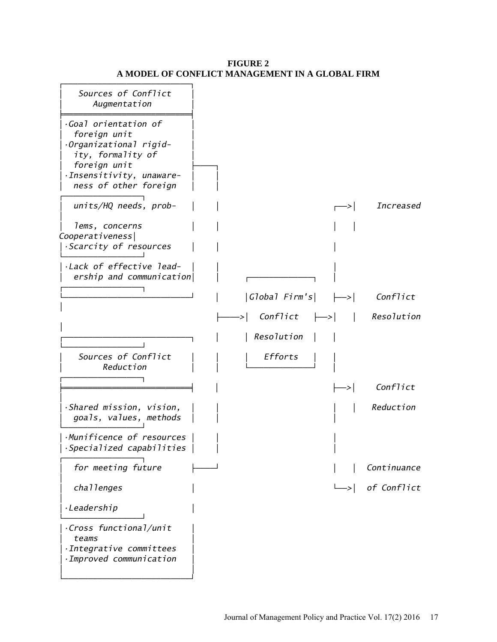# **FIGURE 2 A MODEL OF CONFLICT MANAGEMENT IN A GLOBAL FIRM**